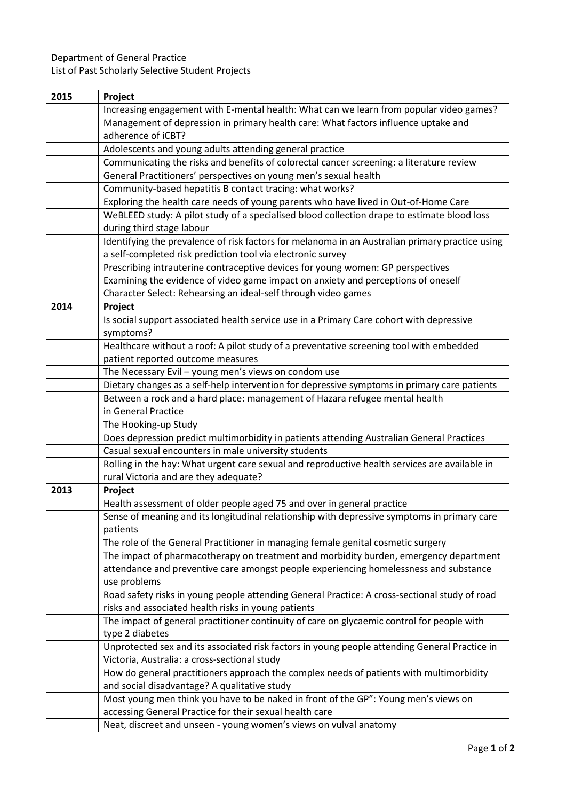## Department of General Practice

List of Past Scholarly Selective Student Projects

| 2015 | Project                                                                                                           |
|------|-------------------------------------------------------------------------------------------------------------------|
|      | Increasing engagement with E-mental health: What can we learn from popular video games?                           |
|      | Management of depression in primary health care: What factors influence uptake and                                |
|      | adherence of iCBT?                                                                                                |
|      | Adolescents and young adults attending general practice                                                           |
|      | Communicating the risks and benefits of colorectal cancer screening: a literature review                          |
|      | General Practitioners' perspectives on young men's sexual health                                                  |
|      | Community-based hepatitis B contact tracing: what works?                                                          |
|      | Exploring the health care needs of young parents who have lived in Out-of-Home Care                               |
|      | WeBLEED study: A pilot study of a specialised blood collection drape to estimate blood loss                       |
|      | during third stage labour                                                                                         |
|      | Identifying the prevalence of risk factors for melanoma in an Australian primary practice using                   |
|      | a self-completed risk prediction tool via electronic survey                                                       |
|      | Prescribing intrauterine contraceptive devices for young women: GP perspectives                                   |
|      | Examining the evidence of video game impact on anxiety and perceptions of oneself                                 |
|      | Character Select: Rehearsing an ideal-self through video games                                                    |
| 2014 | Project                                                                                                           |
|      | Is social support associated health service use in a Primary Care cohort with depressive                          |
|      | symptoms?                                                                                                         |
|      | Healthcare without a roof: A pilot study of a preventative screening tool with embedded                           |
|      | patient reported outcome measures                                                                                 |
|      | The Necessary Evil - young men's views on condom use                                                              |
|      | Dietary changes as a self-help intervention for depressive symptoms in primary care patients                      |
|      | Between a rock and a hard place: management of Hazara refugee mental health                                       |
|      | in General Practice                                                                                               |
|      | The Hooking-up Study<br>Does depression predict multimorbidity in patients attending Australian General Practices |
|      | Casual sexual encounters in male university students                                                              |
|      | Rolling in the hay: What urgent care sexual and reproductive health services are available in                     |
|      | rural Victoria and are they adequate?                                                                             |
| 2013 | Project                                                                                                           |
|      | Health assessment of older people aged 75 and over in general practice                                            |
|      | Sense of meaning and its longitudinal relationship with depressive symptoms in primary care                       |
|      | patients                                                                                                          |
|      | The role of the General Practitioner in managing female genital cosmetic surgery                                  |
|      | The impact of pharmacotherapy on treatment and morbidity burden, emergency department                             |
|      | attendance and preventive care amongst people experiencing homelessness and substance                             |
|      | use problems                                                                                                      |
|      | Road safety risks in young people attending General Practice: A cross-sectional study of road                     |
|      | risks and associated health risks in young patients                                                               |
|      | The impact of general practitioner continuity of care on glycaemic control for people with                        |
|      | type 2 diabetes                                                                                                   |
|      | Unprotected sex and its associated risk factors in young people attending General Practice in                     |
|      | Victoria, Australia: a cross-sectional study                                                                      |
|      | How do general practitioners approach the complex needs of patients with multimorbidity                           |
|      | and social disadvantage? A qualitative study                                                                      |
|      | Most young men think you have to be naked in front of the GP": Young men's views on                               |
|      | accessing General Practice for their sexual health care                                                           |
|      | Neat, discreet and unseen - young women's views on vulval anatomy                                                 |